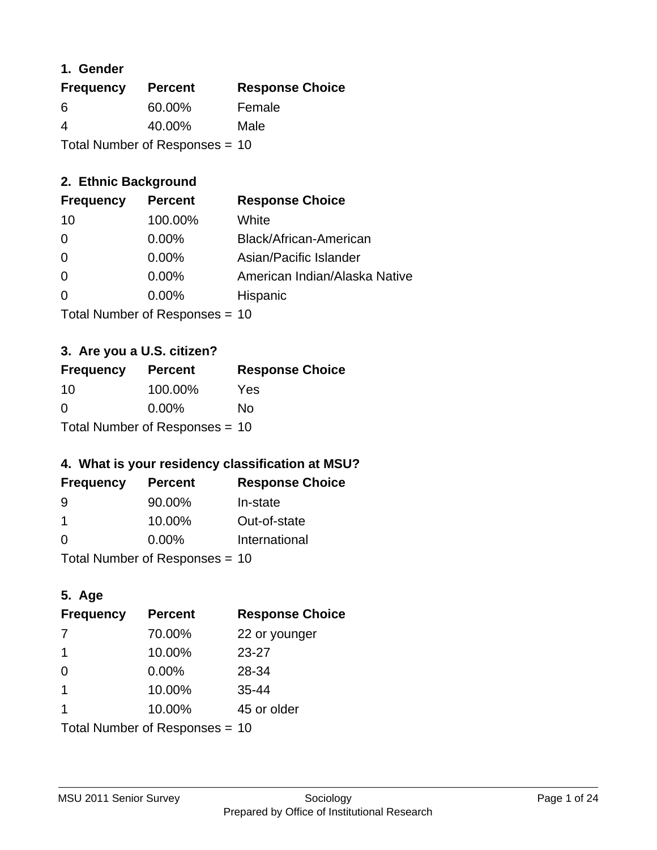### **1. Gender**

| <b>Frequency</b>                 | <b>Percent</b> | <b>Response Choice</b> |
|----------------------------------|----------------|------------------------|
| 6                                | 60.00%         | Female                 |
| $\overline{4}$                   | 40.00%         | Male                   |
| Total Number of Responses = $10$ |                |                        |

## **2. Ethnic Background**

| <b>Frequency</b> | <b>Percent</b> | <b>Response Choice</b>        |
|------------------|----------------|-------------------------------|
| 10               | 100.00%        | White                         |
| 0                | $0.00\%$       | Black/African-American        |
| 0                | $0.00\%$       | Asian/Pacific Islander        |
| 0                | 0.00%          | American Indian/Alaska Native |
| $\Omega$         | 0.00%          | Hispanic                      |
|                  |                |                               |

Total Number of Responses = 10

## **3. Are you a U.S. citizen?**

| <b>Frequency</b>               | <b>Percent</b> | <b>Response Choice</b> |
|--------------------------------|----------------|------------------------|
| -10                            | 100.00%        | Yes                    |
| $\Omega$                       | $0.00\%$       | Nο                     |
| Total Number of Responses = 10 |                |                        |

## **4. What is your residency classification at MSU?**

| <b>Frequency</b> | <b>Percent</b> | <b>Response Choice</b> |
|------------------|----------------|------------------------|
| -9               | 90.00%         | In-state               |
| -1               | 10.00%         | Out-of-state           |
| $\Omega$         | $0.00\%$       | International          |
|                  |                |                        |

Total Number of Responses = 10

## **5. Age**

| <b>Frequency</b>               | <b>Percent</b> | <b>Response Choice</b> |
|--------------------------------|----------------|------------------------|
| 7                              | 70.00%         | 22 or younger          |
| -1                             | 10.00%         | $23 - 27$              |
| $\Omega$                       | $0.00\%$       | 28-34                  |
| $\mathbf 1$                    | 10.00%         | $35 - 44$              |
| -1                             | 10.00%         | 45 or older            |
| Total Number of Responses = 10 |                |                        |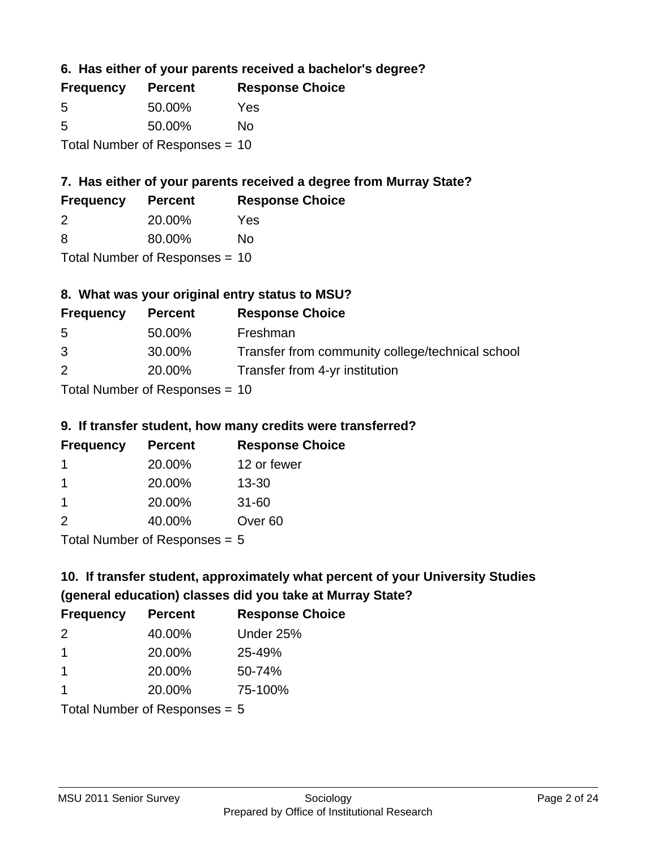**6. Has either of your parents received a bachelor's degree?**

| <b>Frequency</b> | <b>Percent</b>                   | <b>Response Choice</b> |
|------------------|----------------------------------|------------------------|
| 5                | 50.00%                           | Yes                    |
| .5               | 50.00%                           | Nο                     |
|                  | Total Number of Responses $= 10$ |                        |

## **7. Has either of your parents received a degree from Murray State?**

| <b>Frequency</b> | <b>Percent</b> | <b>Response Choice</b> |
|------------------|----------------|------------------------|
| -2               | 20.00%         | Yes                    |
| -8               | 80.00%         | No                     |

Total Number of Responses = 10

## **8. What was your original entry status to MSU?**

| <b>Frequency</b> | <b>Percent</b>               | <b>Response Choice</b>                           |
|------------------|------------------------------|--------------------------------------------------|
| 5                | 50.00%                       | Freshman                                         |
| 3                | 30.00%                       | Transfer from community college/technical school |
| 2                | 20.00%                       | Transfer from 4-yr institution                   |
|                  | Total Number of Deepensee 10 |                                                  |

Total Number of Responses = 10

### **9. If transfer student, how many credits were transferred?**

| <b>Frequency</b>           | <b>Percent</b> | <b>Response Choice</b> |
|----------------------------|----------------|------------------------|
| 1                          | 20.00%         | 12 or fewer            |
| 1                          | 20.00%         | $13 - 30$              |
| -1                         | 20.00%         | $31 - 60$              |
| $\mathcal{P}$              | 40.00%         | Over <sub>60</sub>     |
| Tatal Number of Desperance |                |                        |

Total Number of Responses = 5

# **10. If transfer student, approximately what percent of your University Studies (general education) classes did you take at Murray State?**

| <b>Frequency</b>                | <b>Percent</b> | <b>Response Choice</b> |
|---------------------------------|----------------|------------------------|
| $\mathcal{P}$                   | 40.00%         | Under 25%              |
| $\overline{1}$                  | 20.00%         | 25-49%                 |
| -1                              | 20.00%         | 50-74%                 |
| 1                               | 20.00%         | 75-100%                |
| Total Number of Responses $= 5$ |                |                        |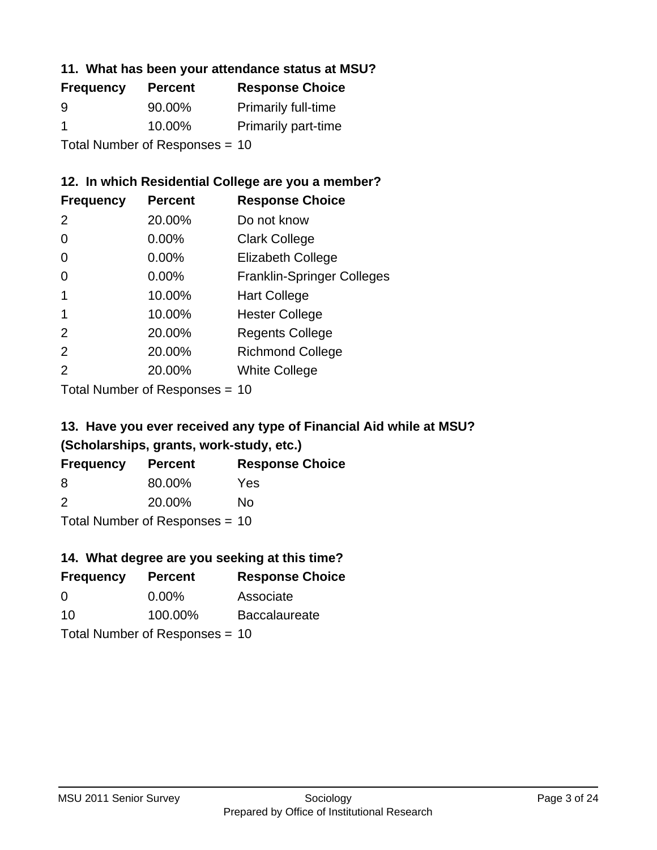### **11. What has been your attendance status at MSU?**

| <b>Frequency</b>               | <b>Percent</b> | <b>Response Choice</b>     |
|--------------------------------|----------------|----------------------------|
| 9                              | 90.00%         | <b>Primarily full-time</b> |
| -1                             | 10.00%         | <b>Primarily part-time</b> |
| Total Number of Responses = 10 |                |                            |

## **12. In which Residential College are you a member?**

| <b>Frequency</b> | <b>Percent</b> | <b>Response Choice</b>            |
|------------------|----------------|-----------------------------------|
| 2                | 20.00%         | Do not know                       |
| 0                | 0.00%          | <b>Clark College</b>              |
| 0                | 0.00%          | <b>Elizabeth College</b>          |
| 0                | $0.00\%$       | <b>Franklin-Springer Colleges</b> |
|                  | 10.00%         | <b>Hart College</b>               |
| 1                | 10.00%         | <b>Hester College</b>             |
| $\mathcal{P}$    | 20.00%         | <b>Regents College</b>            |
| $\mathcal{P}$    | 20.00%         | <b>Richmond College</b>           |
| $\mathcal{P}$    | 20.00%         | <b>White College</b>              |
|                  |                |                                   |

Total Number of Responses = 10

## **13. Have you ever received any type of Financial Aid while at MSU? (Scholarships, grants, work-study, etc.)**

| <b>Frequency</b> | <b>Percent</b>                   | <b>Response Choice</b> |
|------------------|----------------------------------|------------------------|
| 8                | 80.00%                           | Yes                    |
| $\mathcal{P}$    | 20.00%                           | Nο                     |
|                  | Total Number of Responses $= 10$ |                        |

**14. What degree are you seeking at this time?**

| <b>Percent</b>                   | <b>Response Choice</b> |  |
|----------------------------------|------------------------|--|
| $0.00\%$                         | Associate              |  |
| 100.00%                          | <b>Baccalaureate</b>   |  |
| Total Number of Responses $= 10$ |                        |  |
|                                  |                        |  |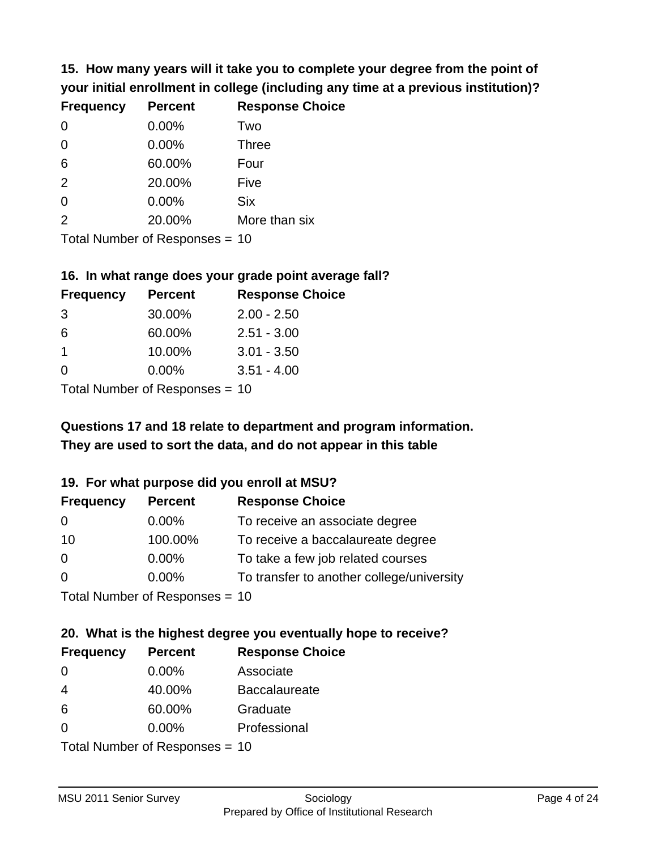**15. How many years will it take you to complete your degree from the point of your initial enrollment in college (including any time at a previous institution)?**

| <b>Frequency</b> | <b>Percent</b> | <b>Response Choice</b> |
|------------------|----------------|------------------------|
| 0                | 0.00%          | Two                    |
| 0                | 0.00%          | <b>Three</b>           |
| 6                | 60.00%         | Four                   |
| 2                | 20.00%         | Five                   |
| 0                | 0.00%          | <b>Six</b>             |
| 2                | 20.00%         | More than six          |
|                  |                |                        |

Total Number of Responses = 10

#### **16. In what range does your grade point average fall?**

| <b>Frequency</b> | <b>Percent</b> | <b>Response Choice</b> |
|------------------|----------------|------------------------|
| -3               | 30.00%         | $2.00 - 2.50$          |
| 6                | 60.00%         | $2.51 - 3.00$          |
| 1                | 10.00%         | $3.01 - 3.50$          |
| 0                | $0.00\%$       | $3.51 - 4.00$          |
|                  |                |                        |

Total Number of Responses = 10

# **They are used to sort the data, and do not appear in this table Questions 17 and 18 relate to department and program information.**

### **19. For what purpose did you enroll at MSU?**

| <b>Frequency</b> | <b>Percent</b>                  | <b>Response Choice</b>                    |
|------------------|---------------------------------|-------------------------------------------|
| 0                | $0.00\%$                        | To receive an associate degree            |
| 10               | 100.00%                         | To receive a baccalaureate degree         |
| $\overline{0}$   | 0.00%                           | To take a few job related courses         |
| $\Omega$         | 0.00%                           | To transfer to another college/university |
|                  | Total Number of Responses $-10$ |                                           |

Total Indifficult of Responses =  $10$ 

# **20. What is the highest degree you eventually hope to receive?**

| <b>Frequency</b> | <b>Percent</b>                 | <b>Response Choice</b> |
|------------------|--------------------------------|------------------------|
| $\Omega$         | $0.00\%$                       | Associate              |
| 4                | 40.00%                         | <b>Baccalaureate</b>   |
| 6                | 60.00%                         | Graduate               |
| $\Omega$         | $0.00\%$                       | Professional           |
|                  | Total Number of Responses = 10 |                        |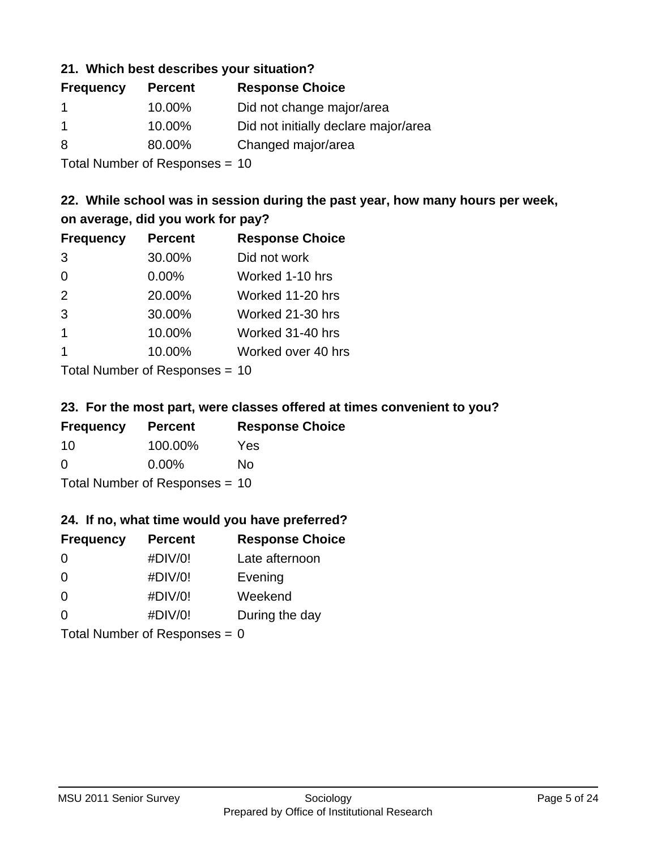### **21. Which best describes your situation?**

| <b>Frequency</b> | <b>Percent</b> | <b>Response Choice</b>               |
|------------------|----------------|--------------------------------------|
| -1               | 10.00%         | Did not change major/area            |
| -1               | 10.00%         | Did not initially declare major/area |
| 8                | 80.00%         | Changed major/area                   |
|                  |                |                                      |

Total Number of Responses = 10

## **22. While school was in session during the past year, how many hours per week, on average, did you work for pay?**

| <b>Frequency</b> | <b>Percent</b> | <b>Response Choice</b> |
|------------------|----------------|------------------------|
| 3                | 30.00%         | Did not work           |
| $\Omega$         | 0.00%          | Worked 1-10 hrs        |
| 2                | 20.00%         | Worked 11-20 hrs       |
| 3                | 30.00%         | Worked 21-30 hrs       |
| $\mathbf 1$      | 10.00%         | Worked 31-40 hrs       |
|                  | 10.00%         | Worked over 40 hrs     |
|                  |                |                        |

Total Number of Responses = 10

### **23. For the most part, were classes offered at times convenient to you?**

| <b>Frequency</b> | <b>Percent</b>                   | <b>Response Choice</b> |
|------------------|----------------------------------|------------------------|
| 10               | 100.00%                          | Yes                    |
| $\Omega$         | $0.00\%$                         | No.                    |
|                  | Total Number of Responses = $10$ |                        |

### **24. If no, what time would you have preferred?**

| <b>Frequency</b> | <b>Percent</b>                  | <b>Response Choice</b> |
|------------------|---------------------------------|------------------------|
| $\Omega$         | #DIV/0!                         | Late afternoon         |
| 0                | #DIV/0!                         | Evening                |
| 0                | #DIV/0!                         | Weekend                |
| $\Omega$         | #DIV/0!                         | During the day         |
|                  | Total Number of Responses = $0$ |                        |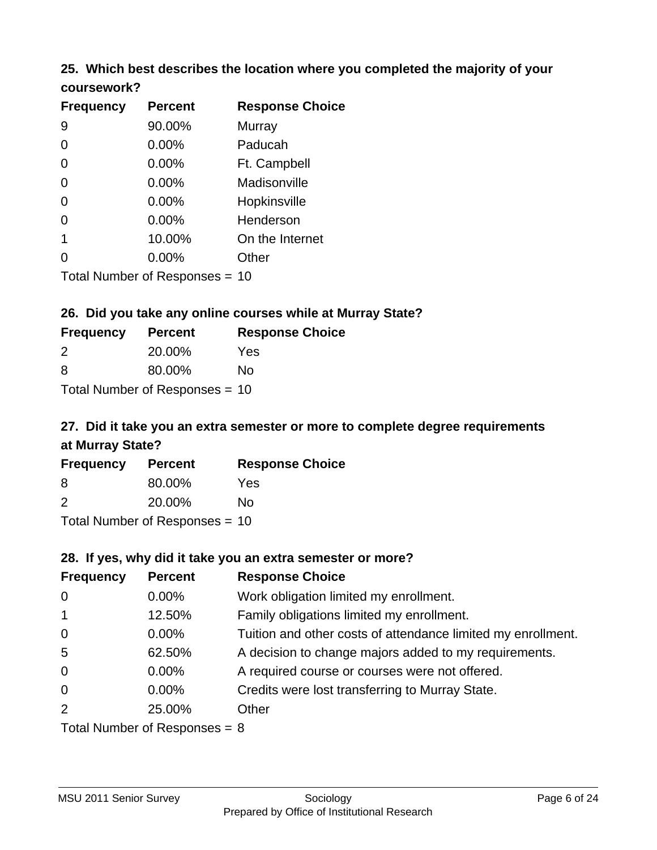## **25. Which best describes the location where you completed the majority of your coursework?**

| <b>Frequency</b> | <b>Percent</b>                 | <b>Response Choice</b> |
|------------------|--------------------------------|------------------------|
| 9                | 90.00%                         | Murray                 |
| 0                | 0.00%                          | Paducah                |
| 0                | 0.00%                          | Ft. Campbell           |
| 0                | 0.00%                          | Madisonville           |
| 0                | 0.00%                          | Hopkinsville           |
| 0                | 0.00%                          | Henderson              |
| 1                | 10.00%                         | On the Internet        |
| 0                | 0.00%                          | Other                  |
|                  | Total Number of Responses = 10 |                        |

**26. Did you take any online courses while at Murray State?**

| <b>Frequency</b> | <b>Percent</b>                 | <b>Response Choice</b> |
|------------------|--------------------------------|------------------------|
| 2                | 20.00%                         | Yes                    |
| -8               | 80.00%                         | Nο                     |
|                  | Total Number of Responses = 10 |                        |

## **27. Did it take you an extra semester or more to complete degree requirements at Murray State?**

| <b>Frequency</b> | <b>Percent</b>                 | <b>Response Choice</b> |
|------------------|--------------------------------|------------------------|
| 8                | 80.00%                         | Yes                    |
| $\mathcal{P}$    | 20.00%                         | No                     |
|                  | Total Number of Responses = 10 |                        |

**28. If yes, why did it take you an extra semester or more?**

| <b>Frequency</b> | <b>Percent</b>                  | <b>Response Choice</b>                                       |
|------------------|---------------------------------|--------------------------------------------------------------|
| $\overline{0}$   | $0.00\%$                        | Work obligation limited my enrollment.                       |
| $\overline{1}$   | 12.50%                          | Family obligations limited my enrollment.                    |
| $\mathbf 0$      | $0.00\%$                        | Tuition and other costs of attendance limited my enrollment. |
| $5\phantom{.0}$  | 62.50%                          | A decision to change majors added to my requirements.        |
| $\mathbf 0$      | $0.00\%$                        | A required course or courses were not offered.               |
| $\overline{0}$   | $0.00\%$                        | Credits were lost transferring to Murray State.              |
| 2                | 25.00%                          | Other                                                        |
|                  | Total Number of Responses = $8$ |                                                              |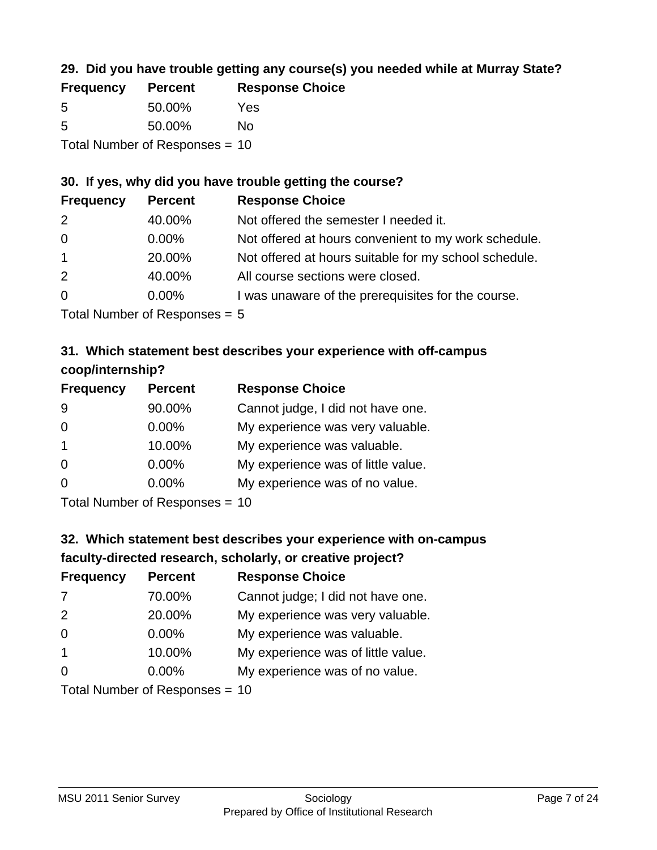## **29. Did you have trouble getting any course(s) you needed while at Murray State?**

| <b>Frequency</b>               | <b>Percent</b> | <b>Response Choice</b> |  |
|--------------------------------|----------------|------------------------|--|
| -5                             | 50.00%         | Yes                    |  |
| -5                             | 50.00%         | Nο                     |  |
| Total Number of Responses = 10 |                |                        |  |

### **30. If yes, why did you have trouble getting the course?**

| <b>Frequency</b> | <b>Percent</b> | <b>Response Choice</b>                                |
|------------------|----------------|-------------------------------------------------------|
| 2                | 40.00%         | Not offered the semester I needed it.                 |
| $\overline{0}$   | $0.00\%$       | Not offered at hours convenient to my work schedule.  |
| $\overline{1}$   | 20.00%         | Not offered at hours suitable for my school schedule. |
| 2                | 40.00%         | All course sections were closed.                      |
| $\overline{0}$   | $0.00\%$       | I was unaware of the prerequisites for the course.    |
|                  |                |                                                       |

Total Number of Responses = 5

## **31. Which statement best describes your experience with off-campus coop/internship?**

| <b>Frequency</b> | <b>Percent</b> | <b>Response Choice</b>             |
|------------------|----------------|------------------------------------|
| 9                | 90.00%         | Cannot judge, I did not have one.  |
| $\Omega$         | $0.00\%$       | My experience was very valuable.   |
| $\overline{1}$   | 10.00%         | My experience was valuable.        |
| $\Omega$         | $0.00\%$       | My experience was of little value. |
| $\Omega$         | 0.00%          | My experience was of no value.     |
|                  |                |                                    |

Total Number of Responses = 10

# **32. Which statement best describes your experience with on-campus faculty-directed research, scholarly, or creative project?**

| <b>Frequency</b> | <b>Percent</b>                 | <b>Response Choice</b>             |
|------------------|--------------------------------|------------------------------------|
| 7                | 70.00%                         | Cannot judge; I did not have one.  |
| 2                | 20.00%                         | My experience was very valuable.   |
| $\overline{0}$   | $0.00\%$                       | My experience was valuable.        |
| $\overline{1}$   | 10.00%                         | My experience was of little value. |
| $\Omega$         | 0.00%                          | My experience was of no value.     |
|                  | Total Number of Responses = 10 |                                    |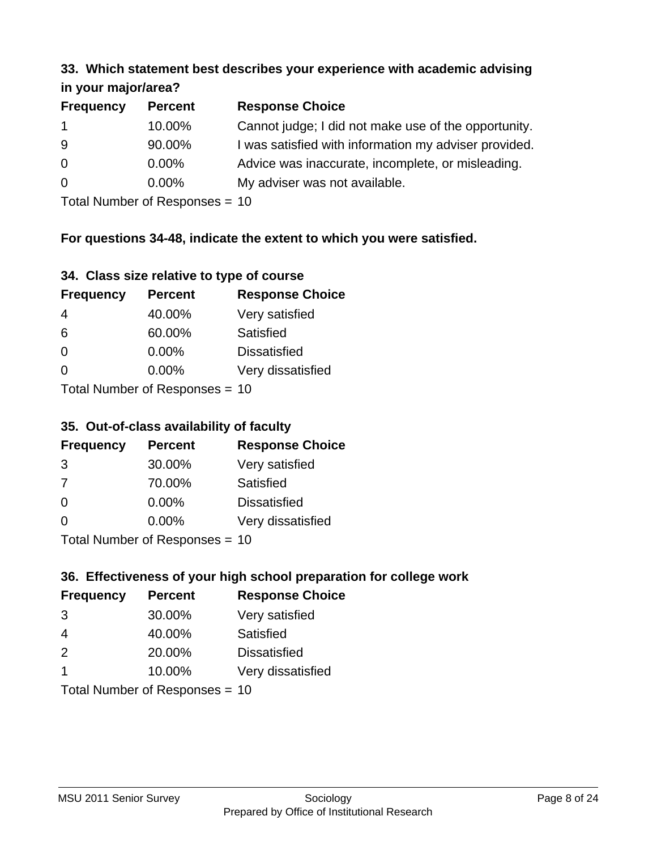#### **33. Which statement best describes your experience with academic advising in your major/area?**

| <b>Frequency</b> | <b>Percent</b> | <b>Response Choice</b>                                |
|------------------|----------------|-------------------------------------------------------|
| $\mathbf 1$      | 10.00%         | Cannot judge; I did not make use of the opportunity.  |
| 9                | 90.00%         | I was satisfied with information my adviser provided. |
| $\overline{0}$   | $0.00\%$       | Advice was inaccurate, incomplete, or misleading.     |
| 0                | $0.00\%$       | My adviser was not available.                         |
|                  |                |                                                       |

Total Number of Responses = 10

## **For questions 34-48, indicate the extent to which you were satisfied.**

| 34. Class size relative to type of course |  |  |  |  |  |  |  |  |
|-------------------------------------------|--|--|--|--|--|--|--|--|
|-------------------------------------------|--|--|--|--|--|--|--|--|

| <b>Frequency</b>               | <b>Percent</b> | <b>Response Choice</b> |  |
|--------------------------------|----------------|------------------------|--|
| 4                              | 40.00%         | Very satisfied         |  |
| 6                              | 60.00%         | Satisfied              |  |
| $\overline{0}$                 | $0.00\%$       | <b>Dissatisfied</b>    |  |
| $\Omega$                       | $0.00\%$       | Very dissatisfied      |  |
| Total Number of Responses - 10 |                |                        |  |

Total Number of Responses = 10

### **35. Out-of-class availability of faculty**

| <b>Frequency</b>          | <b>Percent</b> | <b>Response Choice</b> |
|---------------------------|----------------|------------------------|
| 3                         | 30.00%         | Very satisfied         |
| 7                         | 70.00%         | Satisfied              |
| $\Omega$                  | $0.00\%$       | <b>Dissatisfied</b>    |
| $\Omega$                  | $0.00\%$       | Very dissatisfied      |
| Total Number of Deepensee |                |                        |

Total Number of Responses = 10

## **36. Effectiveness of your high school preparation for college work**

| <b>Frequency</b>        | <b>Percent</b>                 | <b>Response Choice</b> |
|-------------------------|--------------------------------|------------------------|
| 3                       | 30.00%                         | Very satisfied         |
| $\overline{4}$          | 40.00%                         | Satisfied              |
| 2                       | 20.00%                         | <b>Dissatisfied</b>    |
| $\overline{\mathbf{1}}$ | 10.00%                         | Very dissatisfied      |
|                         | Total Number of Responses = 10 |                        |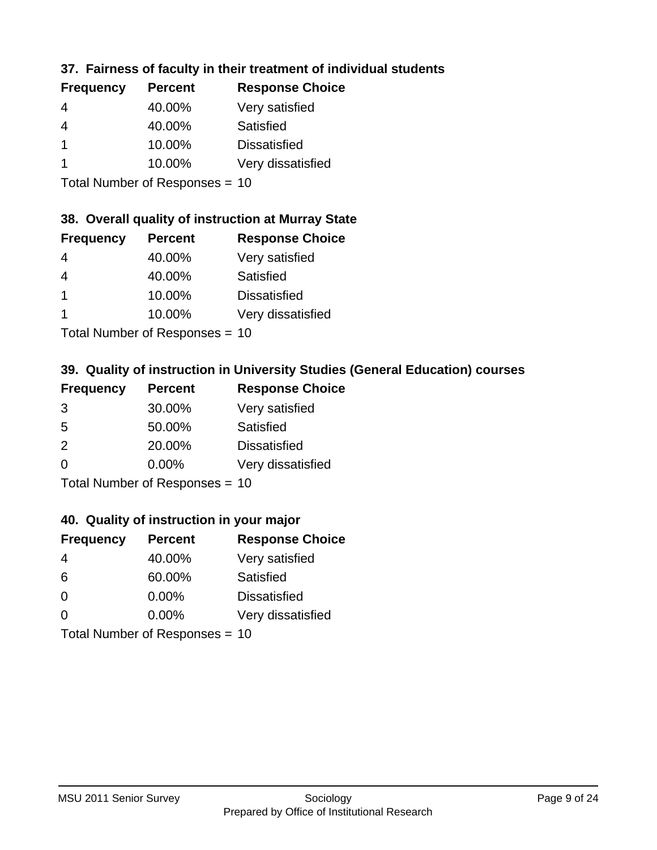## **37. Fairness of faculty in their treatment of individual students**

| <b>Frequency</b> | <b>Percent</b> | <b>Response Choice</b> |
|------------------|----------------|------------------------|
| 4                | 40.00%         | Very satisfied         |
| 4                | 40.00%         | Satisfied              |
|                  | 10.00%         | <b>Dissatisfied</b>    |
|                  | 10.00%         | Very dissatisfied      |
|                  |                |                        |

Total Number of Responses = 10

### **38. Overall quality of instruction at Murray State**

| <b>Frequency</b> | <b>Percent</b>             | <b>Response Choice</b> |
|------------------|----------------------------|------------------------|
| 4                | 40.00%                     | Very satisfied         |
| $\overline{4}$   | 40.00%                     | Satisfied              |
| $\mathbf 1$      | 10.00%                     | <b>Dissatisfied</b>    |
|                  | 10.00%                     | Very dissatisfied      |
|                  | Tatal Number of Desperance |                        |

Total Number of Responses = 10

## **39. Quality of instruction in University Studies (General Education) courses**

| <b>Frequency</b>          | <b>Percent</b> | <b>Response Choice</b> |
|---------------------------|----------------|------------------------|
| 3                         | 30.00%         | Very satisfied         |
| 5                         | 50.00%         | Satisfied              |
| $\mathcal{P}$             | 20.00%         | <b>Dissatisfied</b>    |
| $\Omega$                  | 0.00%          | Very dissatisfied      |
| Total Number of Desponses |                |                        |

Total Number of Responses = 10

### **40. Quality of instruction in your major**

| <b>Frequency</b> | <b>Percent</b>            | <b>Response Choice</b> |
|------------------|---------------------------|------------------------|
| 4                | 40.00%                    | Very satisfied         |
| 6                | 60.00%                    | Satisfied              |
| $\Omega$         | 0.00%                     | <b>Dissatisfied</b>    |
| ∩                | 0.00%                     | Very dissatisfied      |
|                  | Total Number of Desponses |                        |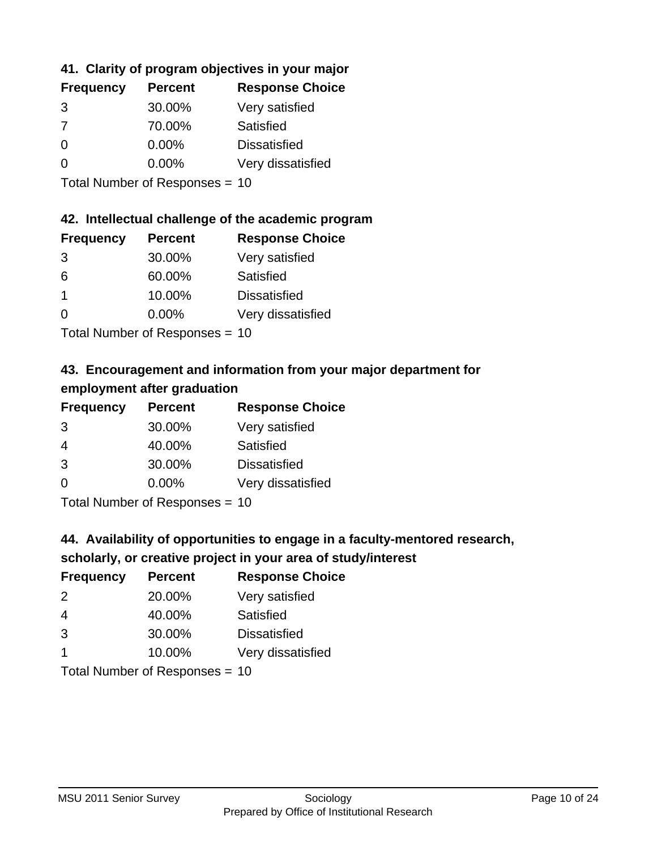## **41. Clarity of program objectives in your major**

| <b>Frequency</b> | <b>Percent</b> | <b>Response Choice</b> |
|------------------|----------------|------------------------|
| 3                | 30.00%         | Very satisfied         |
| 7                | 70.00%         | Satisfied              |
| ∩                | $0.00\%$       | <b>Dissatisfied</b>    |
|                  | $0.00\%$       | Very dissatisfied      |
|                  |                |                        |

Total Number of Responses = 10

## **42. Intellectual challenge of the academic program**

| <b>Frequency</b> | <b>Percent</b> | <b>Response Choice</b> |
|------------------|----------------|------------------------|
| 3                | 30.00%         | Very satisfied         |
| 6                | 60.00%         | Satisfied              |
|                  | 10.00%         | <b>Dissatisfied</b>    |
| $\Omega$         | 0.00%          | Very dissatisfied      |
|                  |                |                        |

Total Number of Responses = 10

## **43. Encouragement and information from your major department for employment after graduation**

| <b>Frequency</b>           | <b>Percent</b> | <b>Response Choice</b> |
|----------------------------|----------------|------------------------|
| 3                          | 30.00%         | Very satisfied         |
| $\overline{4}$             | 40.00%         | Satisfied              |
| 3                          | 30.00%         | <b>Dissatisfied</b>    |
| $\Omega$                   | 0.00%          | Very dissatisfied      |
| Tatal Manakan af Dagmanage |                |                        |

Total Number of Responses = 10

## **44. Availability of opportunities to engage in a faculty-mentored research,**

## **scholarly, or creative project in your area of study/interest**

| <b>Frequency</b> | <b>Percent</b>            | <b>Response Choice</b> |
|------------------|---------------------------|------------------------|
| $\mathcal{P}$    | 20.00%                    | Very satisfied         |
| 4                | 40.00%                    | Satisfied              |
| 3                | 30.00%                    | <b>Dissatisfied</b>    |
|                  | 10.00%                    | Very dissatisfied      |
|                  | Total Number of Deepensee | 1 O                    |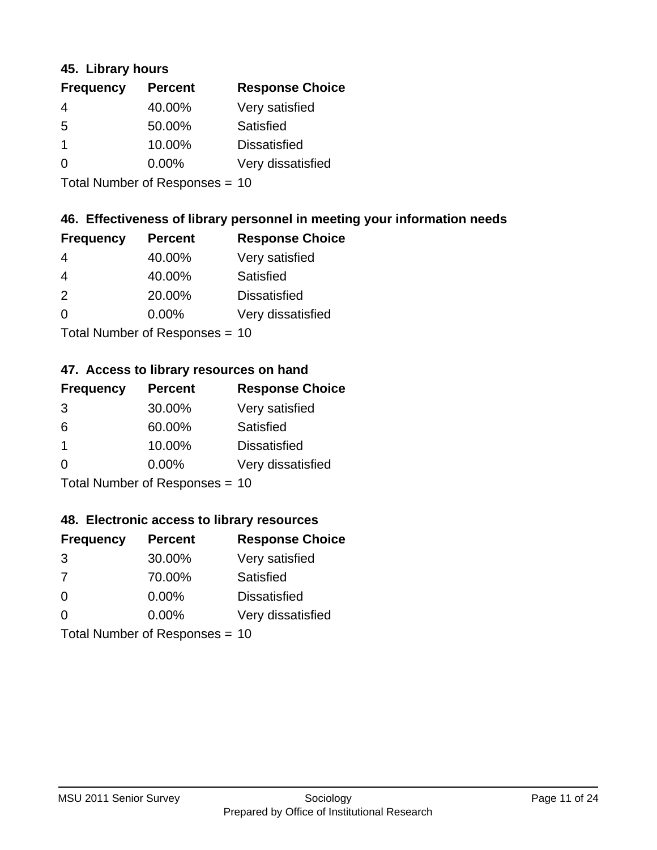### **45. Library hours**

| <b>Frequency</b> | <b>Percent</b> | <b>Response Choice</b> |
|------------------|----------------|------------------------|
| 4                | 40.00%         | Very satisfied         |
| 5                | 50.00%         | Satisfied              |
|                  | 10.00%         | <b>Dissatisfied</b>    |
| $\Omega$         | 0.00%          | Very dissatisfied      |
|                  |                |                        |

Total Number of Responses = 10

### **46. Effectiveness of library personnel in meeting your information needs**

| <b>Frequency</b> | <b>Percent</b> | <b>Response Choice</b> |
|------------------|----------------|------------------------|
| 4                | 40.00%         | Very satisfied         |
| 4                | 40.00%         | Satisfied              |
| $\mathcal{P}$    | 20.00%         | <b>Dissatisfied</b>    |
| $\Omega$         | 0.00%          | Very dissatisfied      |
|                  |                |                        |

Total Number of Responses = 10

## **47. Access to library resources on hand**

| <b>Frequency</b> | <b>Percent</b>                 | <b>Response Choice</b> |
|------------------|--------------------------------|------------------------|
| 3                | 30.00%                         | Very satisfied         |
| 6                | 60.00%                         | Satisfied              |
| -1               | 10.00%                         | <b>Dissatisfied</b>    |
| $\Omega$         | 0.00%                          | Very dissatisfied      |
|                  | $Total Number of Doepopogog -$ |                        |

Total Number of Responses = 10

## **48. Electronic access to library resources**

| <b>Frequency</b> | <b>Percent</b>                 | <b>Response Choice</b> |
|------------------|--------------------------------|------------------------|
| 3                | 30.00%                         | Very satisfied         |
| 7                | 70.00%                         | Satisfied              |
| $\Omega$         | $0.00\%$                       | <b>Dissatisfied</b>    |
| $\Omega$         | 0.00%                          | Very dissatisfied      |
|                  | Total Number of Responses = 10 |                        |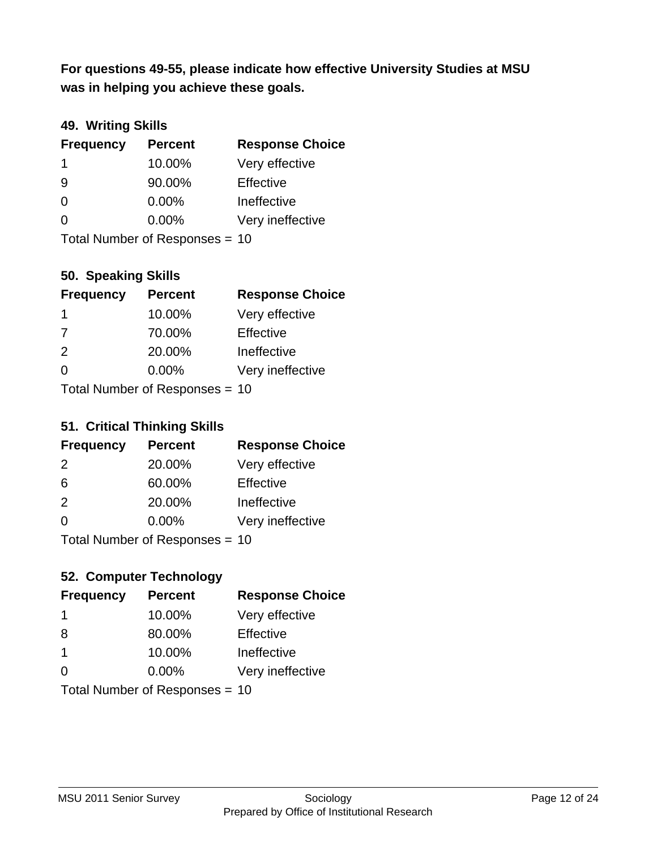**was in helping you achieve these goals. For questions 49-55, please indicate how effective University Studies at MSU** 

## **49. Writing Skills**

| <b>Frequency</b> | <b>Percent</b>                 | <b>Response Choice</b> |
|------------------|--------------------------------|------------------------|
| -1               | 10.00%                         | Very effective         |
| 9                | 90.00%                         | Effective              |
| $\Omega$         | 0.00%                          | Ineffective            |
| $\Omega$         | $0.00\%$                       | Very ineffective       |
|                  | Total Number of Responses = 10 |                        |

### **50. Speaking Skills**

| <b>Frequency</b> | <b>Percent</b>                  | <b>Response Choice</b> |
|------------------|---------------------------------|------------------------|
| -1               | 10.00%                          | Very effective         |
| 7                | 70.00%                          | Effective              |
| $\mathcal{P}$    | 20.00%                          | Ineffective            |
| $\Omega$         | 0.00%                           | Very ineffective       |
|                  | $Total Number of Denonose = 10$ |                        |

Total Number of Responses = 10

## **51. Critical Thinking Skills**

| <b>Frequency</b> | <b>Percent</b>            | <b>Response Choice</b> |
|------------------|---------------------------|------------------------|
| 2                | 20.00%                    | Very effective         |
| 6                | 60.00%                    | Effective              |
| $\mathcal{P}$    | 20.00%                    | Ineffective            |
| $\Omega$         | 0.00%                     | Very ineffective       |
|                  | Total Number of DoEROR 0. |                        |

Total Number of Responses = 10

## **52. Computer Technology**

| <b>Frequency</b> | <b>Percent</b>                 | <b>Response Choice</b> |
|------------------|--------------------------------|------------------------|
| -1               | 10.00%                         | Very effective         |
| 8                | 80.00%                         | Effective              |
| $\overline{1}$   | 10.00%                         | Ineffective            |
| $\Omega$         | $0.00\%$                       | Very ineffective       |
|                  | Total Number of Responses = 10 |                        |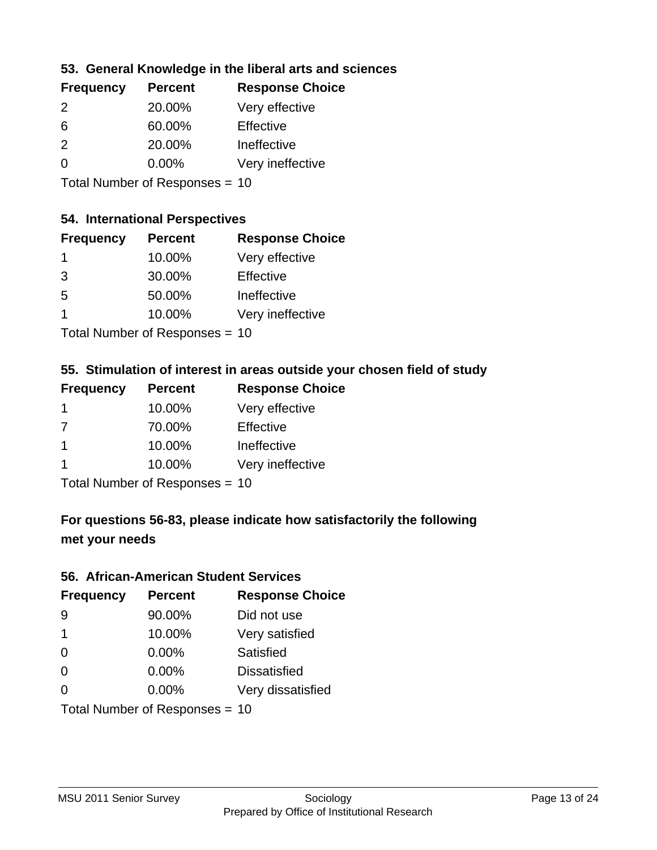## **53. General Knowledge in the liberal arts and sciences**

| <b>Frequency</b> | <b>Percent</b> | <b>Response Choice</b> |
|------------------|----------------|------------------------|
| $\mathcal{P}$    | 20.00%         | Very effective         |
| 6                | 60.00%         | Effective              |
| $\mathcal{P}$    | 20.00%         | Ineffective            |
| $\Omega$         | $0.00\%$       | Very ineffective       |
|                  |                |                        |

Total Number of Responses = 10

### **54. International Perspectives**

| <b>Frequency</b>                                        | <b>Percent</b> | <b>Response Choice</b> |
|---------------------------------------------------------|----------------|------------------------|
| -1                                                      | 10.00%         | Very effective         |
| 3                                                       | 30.00%         | Effective              |
| -5                                                      | 50.00%         | Ineffective            |
| 1                                                       | 10.00%         | Very ineffective       |
| $T$ at all Message and $R$ $\sim$ and $\sim$ and $\sim$ |                |                        |

Total Number of Responses = 10

## **55. Stimulation of interest in areas outside your chosen field of study**

| <b>Frequency</b> | <b>Percent</b>            | <b>Response Choice</b> |
|------------------|---------------------------|------------------------|
| -1               | 10.00%                    | Very effective         |
| 7                | 70.00%                    | Effective              |
| $\mathbf 1$      | 10.00%                    | Ineffective            |
| $\mathbf 1$      | 10.00%                    | Very ineffective       |
|                  | Total Number of DoEROR 0. |                        |

Total Number of Responses = 10

## **For questions 56-83, please indicate how satisfactorily the following met your needs**

#### **56. African-American Student Services**

| <b>Frequency</b> | <b>Percent</b>                 | <b>Response Choice</b> |
|------------------|--------------------------------|------------------------|
| 9                | 90.00%                         | Did not use            |
| -1               | 10.00%                         | Very satisfied         |
| $\Omega$         | 0.00%                          | Satisfied              |
| $\Omega$         | 0.00%                          | <b>Dissatisfied</b>    |
| $\Omega$         | 0.00%                          | Very dissatisfied      |
|                  | Total Number of Responses = 10 |                        |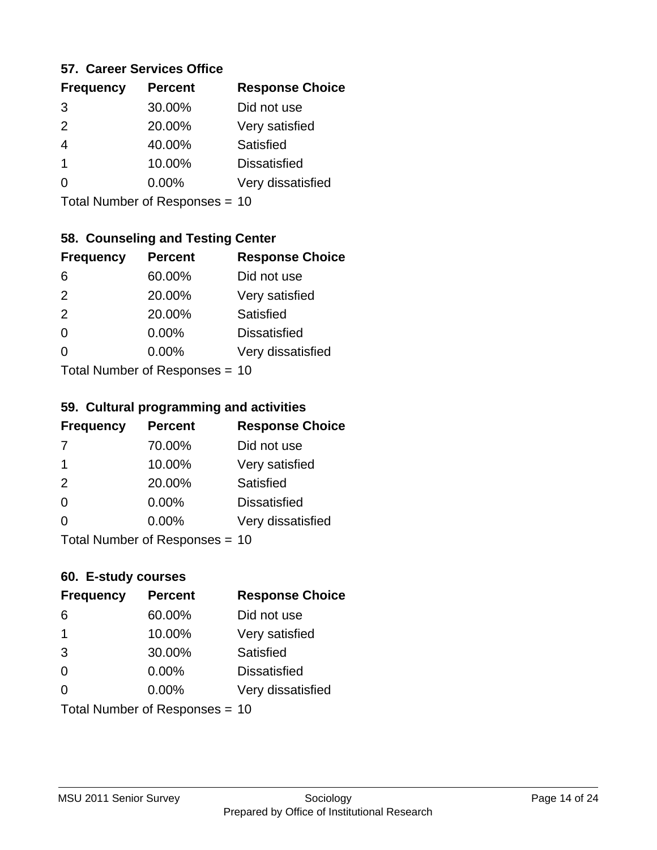### **57. Career Services Office**

| <b>Frequency</b> | <b>Percent</b> | <b>Response Choice</b> |
|------------------|----------------|------------------------|
| 3                | 30.00%         | Did not use            |
| $\mathcal{P}$    | 20.00%         | Very satisfied         |
|                  | 40.00%         | Satisfied              |
| 1                | 10.00%         | <b>Dissatisfied</b>    |
|                  | $0.00\%$       | Very dissatisfied      |
|                  |                |                        |

Total Number of Responses = 10

### **58. Counseling and Testing Center**

| <b>Frequency</b>          | <b>Percent</b> | <b>Response Choice</b> |
|---------------------------|----------------|------------------------|
| 6                         | 60.00%         | Did not use            |
| 2                         | 20.00%         | Very satisfied         |
| 2                         | 20.00%         | Satisfied              |
| $\Omega$                  | 0.00%          | <b>Dissatisfied</b>    |
| ∩                         | 0.00%          | Very dissatisfied      |
| Total Number of Desponses |                |                        |

Total Number of Responses = 10

#### **59. Cultural programming and activities**

| <b>Frequency</b> | <b>Percent</b>                | <b>Response Choice</b> |
|------------------|-------------------------------|------------------------|
| -7               | 70.00%                        | Did not use            |
| $\mathbf 1$      | 10.00%                        | Very satisfied         |
| 2                | 20.00%                        | Satisfied              |
| $\Omega$         | $0.00\%$                      | <b>Dissatisfied</b>    |
| $\Omega$         | $0.00\%$                      | Very dissatisfied      |
|                  | $Total Number of DoEROR 20 =$ |                        |

Total Number of Responses = 10

### **60. E-study courses**

| <b>Frequency</b> | <b>Percent</b>                 | <b>Response Choice</b> |
|------------------|--------------------------------|------------------------|
| 6                | 60.00%                         | Did not use            |
| $\mathbf 1$      | 10.00%                         | Very satisfied         |
| 3                | 30.00%                         | Satisfied              |
| $\Omega$         | 0.00%                          | <b>Dissatisfied</b>    |
| $\Omega$         | $0.00\%$                       | Very dissatisfied      |
|                  | Total Number of Responses = 10 |                        |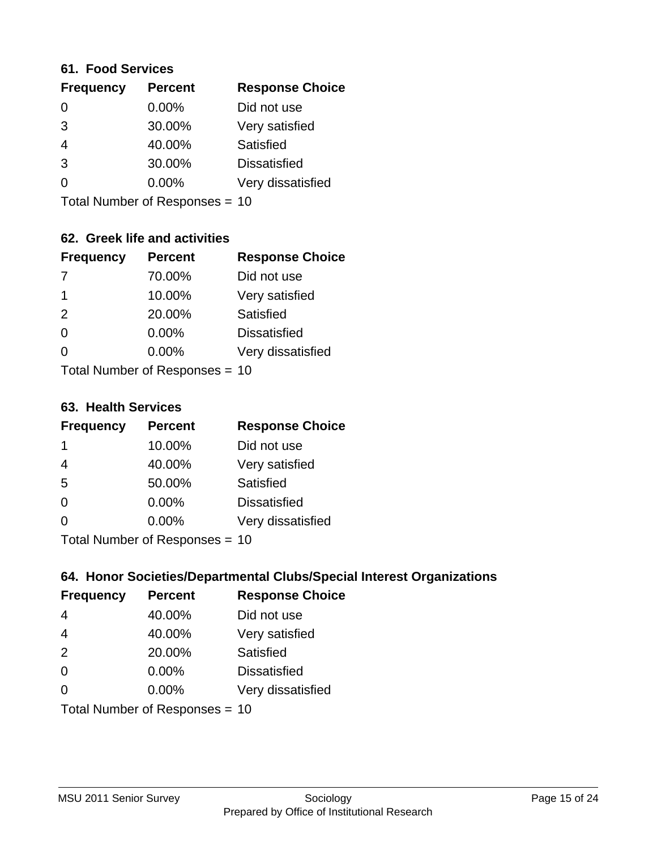#### **61. Food Services**

| <b>Frequency</b> | <b>Percent</b> | <b>Response Choice</b> |
|------------------|----------------|------------------------|
| 0                | 0.00%          | Did not use            |
| 3                | 30.00%         | Very satisfied         |
| 4                | 40.00%         | Satisfied              |
| 3                | 30.00%         | <b>Dissatisfied</b>    |
| ∩                | $0.00\%$       | Very dissatisfied      |
|                  |                |                        |

Total Number of Responses = 10

## **62. Greek life and activities**

| <b>Frequency</b> | <b>Percent</b>                 | <b>Response Choice</b> |
|------------------|--------------------------------|------------------------|
| -7               | 70.00%                         | Did not use            |
| 1                | 10.00%                         | Very satisfied         |
| 2                | 20.00%                         | Satisfied              |
| $\Omega$         | 0.00%                          | <b>Dissatisfied</b>    |
| O                | 0.00%                          | Very dissatisfied      |
|                  | Total Number of Responses = 10 |                        |

#### **63. Health Services**

| <b>Frequency</b> | <b>Percent</b>            | <b>Response Choice</b> |
|------------------|---------------------------|------------------------|
| -1               | 10.00%                    | Did not use            |
| 4                | 40.00%                    | Very satisfied         |
| 5                | 50.00%                    | <b>Satisfied</b>       |
| $\Omega$         | $0.00\%$                  | <b>Dissatisfied</b>    |
| $\Omega$         | 0.00%                     | Very dissatisfied      |
|                  | Total Number of Desponses |                        |

Total Number of Responses = 10

### **64. Honor Societies/Departmental Clubs/Special Interest Organizations**

| <b>Frequency</b> | <b>Percent</b>                 | <b>Response Choice</b> |
|------------------|--------------------------------|------------------------|
| 4                | 40.00%                         | Did not use            |
| $\overline{4}$   | 40.00%                         | Very satisfied         |
| 2                | 20.00%                         | Satisfied              |
| $\Omega$         | 0.00%                          | <b>Dissatisfied</b>    |
| $\Omega$         | 0.00%                          | Very dissatisfied      |
|                  | Total Number of Responses = 10 |                        |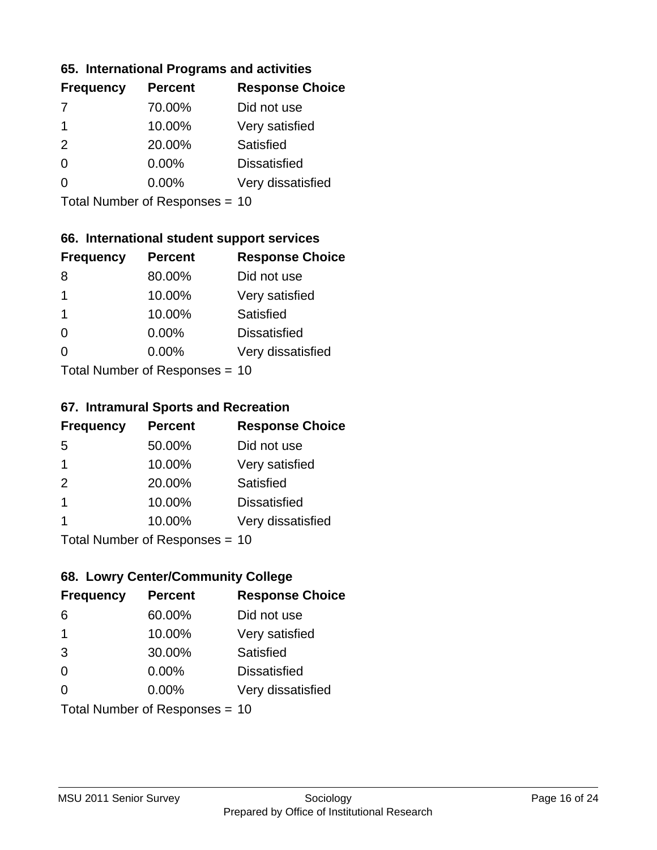### **65. International Programs and activities**

| <b>Frequency</b> | <b>Percent</b> | <b>Response Choice</b> |
|------------------|----------------|------------------------|
|                  | 70.00%         | Did not use            |
| 1                | 10.00%         | Very satisfied         |
| $\mathcal{P}$    | 20.00%         | Satisfied              |
| O                | 0.00%          | <b>Dissatisfied</b>    |
|                  | 0.00%          | Very dissatisfied      |
|                  |                |                        |

Total Number of Responses = 10

## **66. International student support services**

| <b>Frequency</b>          | <b>Percent</b> | <b>Response Choice</b> |
|---------------------------|----------------|------------------------|
| 8                         | 80.00%         | Did not use            |
| 1                         | 10.00%         | Very satisfied         |
| $\mathbf 1$               | 10.00%         | Satisfied              |
| $\Omega$                  | 0.00%          | <b>Dissatisfied</b>    |
| $\Omega$                  | 0.00%          | Very dissatisfied      |
| Total Number of Desponses |                |                        |

Total Number of Responses = 10

#### **67. Intramural Sports and Recreation**

| <b>Frequency</b> | <b>Percent</b>                  | <b>Response Choice</b> |
|------------------|---------------------------------|------------------------|
| 5                | 50.00%                          | Did not use            |
| $\mathbf 1$      | 10.00%                          | Very satisfied         |
| 2                | 20.00%                          | Satisfied              |
| -1               | 10.00%                          | <b>Dissatisfied</b>    |
| 1                | 10.00%                          | Very dissatisfied      |
|                  | $Total Number of Denonose = 10$ |                        |

Total Number of Responses = 10

### **68. Lowry Center/Community College**

| <b>Frequency</b> | <b>Percent</b>                 | <b>Response Choice</b> |
|------------------|--------------------------------|------------------------|
| 6                | 60.00%                         | Did not use            |
| -1               | 10.00%                         | Very satisfied         |
| 3                | 30.00%                         | Satisfied              |
| $\Omega$         | 0.00%                          | <b>Dissatisfied</b>    |
| ∩                | $0.00\%$                       | Very dissatisfied      |
|                  | Total Number of Responses = 10 |                        |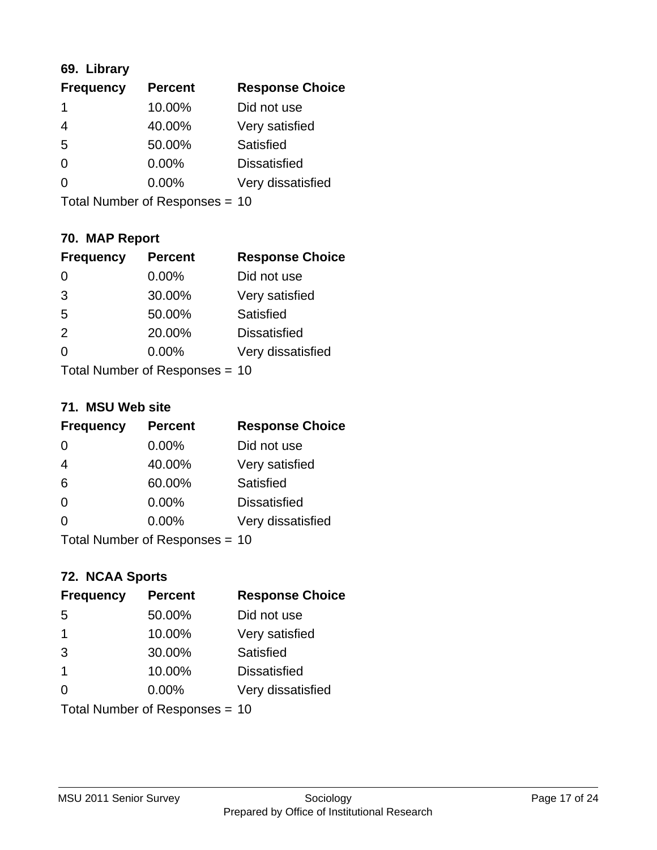## **69. Library**

| <b>Frequency</b> | <b>Percent</b> | <b>Response Choice</b> |
|------------------|----------------|------------------------|
| 1                | 10.00%         | Did not use            |
| 4                | 40.00%         | Very satisfied         |
| 5                | 50.00%         | Satisfied              |
| 0                | 0.00%          | <b>Dissatisfied</b>    |
| 0                | 0.00%          | Very dissatisfied      |
|                  |                |                        |

Total Number of Responses = 10

## **70. MAP Report**

| <b>Frequency</b> | <b>Percent</b>                 | <b>Response Choice</b> |
|------------------|--------------------------------|------------------------|
|                  | 0.00%                          | Did not use            |
| 3                | 30.00%                         | Very satisfied         |
| 5                | 50.00%                         | Satisfied              |
| 2                | 20.00%                         | <b>Dissatisfied</b>    |
| 0                | $0.00\%$                       | Very dissatisfied      |
|                  | Total Number of Responses = 10 |                        |

### **71. MSU Web site**

| <b>Frequency</b>               | <b>Percent</b> | <b>Response Choice</b> |
|--------------------------------|----------------|------------------------|
| $\Omega$                       | 0.00%          | Did not use            |
| $\overline{4}$                 | 40.00%         | Very satisfied         |
| 6                              | 60.00%         | Satisfied              |
| $\Omega$                       | 0.00%          | <b>Dissatisfied</b>    |
| $\Omega$                       | 0.00%          | Very dissatisfied      |
| Total Number of Responses = 10 |                |                        |

### **72. NCAA Sports**

| <b>Frequency</b> | <b>Percent</b>                 | <b>Response Choice</b> |
|------------------|--------------------------------|------------------------|
| 5                | 50.00%                         | Did not use            |
| $\mathbf 1$      | 10.00%                         | Very satisfied         |
| 3                | 30.00%                         | Satisfied              |
| $\overline{1}$   | 10.00%                         | <b>Dissatisfied</b>    |
| $\Omega$         | 0.00%                          | Very dissatisfied      |
|                  | Total Number of Responses = 10 |                        |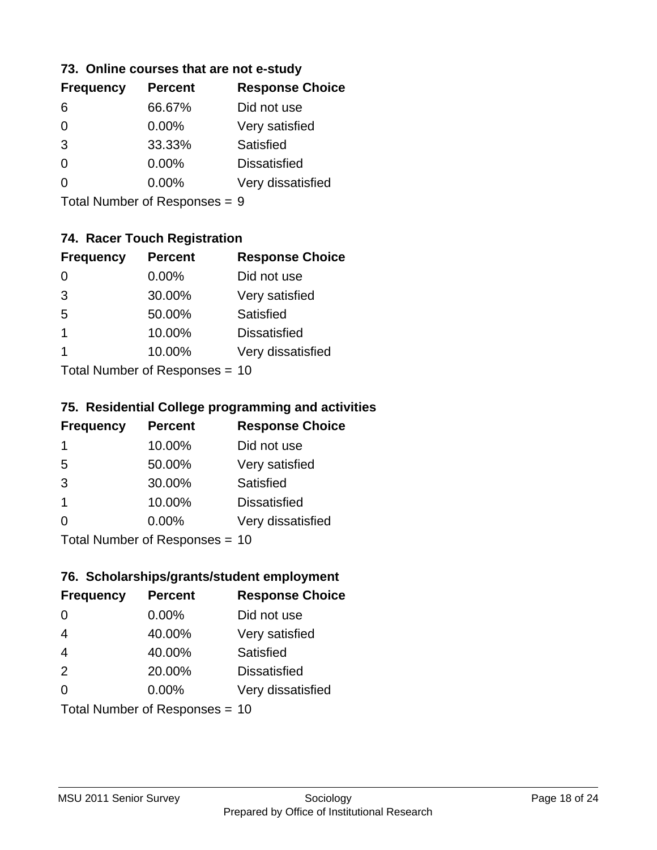### **73. Online courses that are not e-study**

| <b>Frequency</b> | <b>Percent</b> | <b>Response Choice</b> |
|------------------|----------------|------------------------|
| 6                | 66.67%         | Did not use            |
| 0                | 0.00%          | Very satisfied         |
| 3                | 33.33%         | Satisfied              |
| 0                | $0.00\%$       | <b>Dissatisfied</b>    |
|                  | $0.00\%$       | Very dissatisfied      |
|                  |                |                        |

Total Number of Responses = 9

## **74. Racer Touch Registration**

| <b>Frequency</b>          | <b>Percent</b> | <b>Response Choice</b> |
|---------------------------|----------------|------------------------|
| 0                         | 0.00%          | Did not use            |
| 3                         | 30.00%         | Very satisfied         |
| 5                         | 50.00%         | <b>Satisfied</b>       |
| 1                         | 10.00%         | <b>Dissatisfied</b>    |
| 1                         | 10.00%         | Very dissatisfied      |
| Total Number of Desponses |                |                        |

Total Number of Responses = 10

### **75. Residential College programming and activities**

| <b>Frequency</b>          | <b>Percent</b> | <b>Response Choice</b> |
|---------------------------|----------------|------------------------|
| -1                        | 10.00%         | Did not use            |
| 5                         | 50.00%         | Very satisfied         |
| 3                         | 30.00%         | Satisfied              |
| -1                        | 10.00%         | <b>Dissatisfied</b>    |
| $\Omega$                  | 0.00%          | Very dissatisfied      |
| Total Number of Desponses |                |                        |

Total Number of Responses = 10

## **76. Scholarships/grants/student employment**

| <b>Frequency</b>               | <b>Percent</b> | <b>Response Choice</b> |
|--------------------------------|----------------|------------------------|
| 0                              | 0.00%          | Did not use            |
| $\overline{4}$                 | 40.00%         | Very satisfied         |
| $\overline{4}$                 | 40.00%         | Satisfied              |
| 2                              | 20.00%         | <b>Dissatisfied</b>    |
| $\Omega$                       | $0.00\%$       | Very dissatisfied      |
| Total Number of Responses = 10 |                |                        |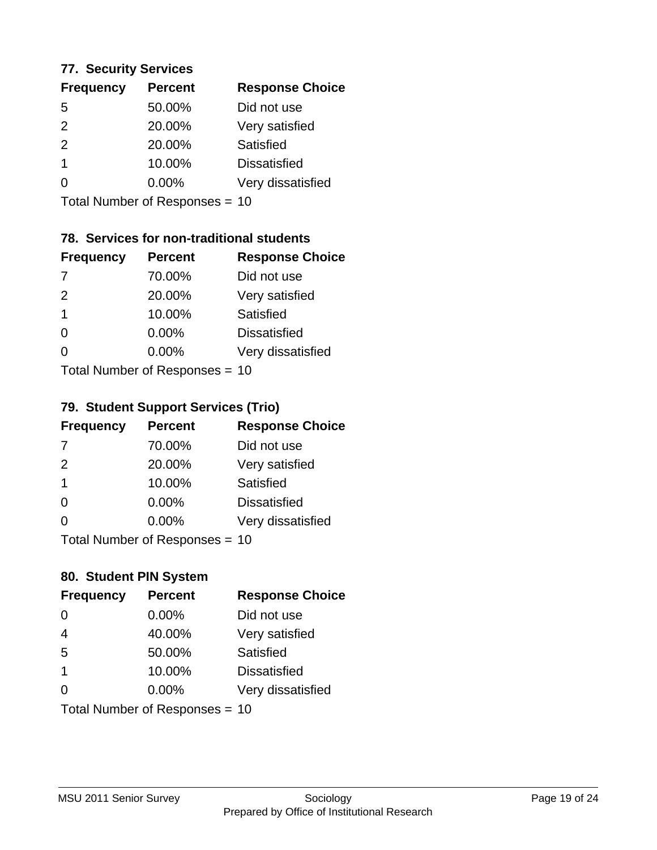### **77. Security Services**

| <b>Percent</b> | <b>Response Choice</b> |
|----------------|------------------------|
| 50.00%         | Did not use            |
| 20.00%         | Very satisfied         |
| 20.00%         | Satisfied              |
| 10.00%         | <b>Dissatisfied</b>    |
| $0.00\%$       | Very dissatisfied      |
|                |                        |

Total Number of Responses = 10

## **78. Services for non-traditional students**

| <b>Frequency</b>          | <b>Percent</b> | <b>Response Choice</b> |
|---------------------------|----------------|------------------------|
| -7                        | 70.00%         | Did not use            |
| 2                         | 20.00%         | Very satisfied         |
| $\mathbf 1$               | 10.00%         | <b>Satisfied</b>       |
| $\Omega$                  | 0.00%          | <b>Dissatisfied</b>    |
| ∩                         | 0.00%          | Very dissatisfied      |
| Total Number of Desponses |                |                        |

Total Number of Responses = 10

### **79. Student Support Services (Trio)**

| <b>Frequency</b>          | <b>Percent</b> | <b>Response Choice</b> |
|---------------------------|----------------|------------------------|
| -7                        | 70.00%         | Did not use            |
| 2                         | 20.00%         | Very satisfied         |
| $\overline{1}$            | 10.00%         | <b>Satisfied</b>       |
| $\Omega$                  | $0.00\%$       | <b>Dissatisfied</b>    |
| ∩                         | 0.00%          | Very dissatisfied      |
| Total Number of Desponses |                |                        |

Total Number of Responses = 10

### **80. Student PIN System**

| <b>Frequency</b>               | <b>Percent</b> | <b>Response Choice</b> |
|--------------------------------|----------------|------------------------|
| 0                              | 0.00%          | Did not use            |
| $\overline{4}$                 | 40.00%         | Very satisfied         |
| 5                              | 50.00%         | Satisfied              |
| 1                              | 10.00%         | <b>Dissatisfied</b>    |
| 0                              | $0.00\%$       | Very dissatisfied      |
| Total Number of Responses = 10 |                |                        |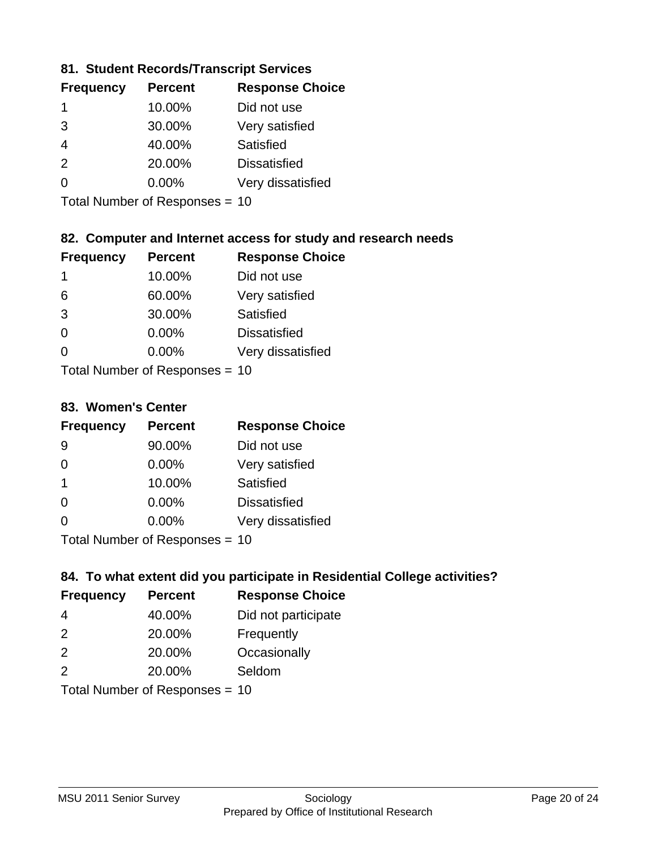### **81. Student Records/Transcript Services**

| <b>Percent</b> | <b>Response Choice</b> |
|----------------|------------------------|
| 10.00%         | Did not use            |
| 30.00%         | Very satisfied         |
| 40.00%         | Satisfied              |
| 20.00%         | <b>Dissatisfied</b>    |
| $0.00\%$       | Very dissatisfied      |
|                |                        |

Total Number of Responses = 10

## **82. Computer and Internet access for study and research needs**

| <b>Frequency</b>           | <b>Percent</b> | <b>Response Choice</b> |
|----------------------------|----------------|------------------------|
| 1                          | 10.00%         | Did not use            |
| 6                          | 60.00%         | Very satisfied         |
| 3                          | 30.00%         | Satisfied              |
| $\Omega$                   | 0.00%          | <b>Dissatisfied</b>    |
| ∩                          | 0.00%          | Very dissatisfied      |
| Tatal Number of Desperance |                |                        |

Total Number of Responses = 10

#### **83. Women's Center**

| <b>Frequency</b>          | <b>Percent</b> | <b>Response Choice</b> |
|---------------------------|----------------|------------------------|
| 9                         | 90.00%         | Did not use            |
| $\Omega$                  | 0.00%          | Very satisfied         |
| -1                        | 10.00%         | Satisfied              |
| $\Omega$                  | 0.00%          | <b>Dissatisfied</b>    |
| ∩                         | $0.00\%$       | Very dissatisfied      |
| Total Number of Deepersee |                |                        |

Total Number of Responses = 10

### **84. To what extent did you participate in Residential College activities?**

| <b>Frequency</b>           | <b>Percent</b> | <b>Response Choice</b> |
|----------------------------|----------------|------------------------|
| 4                          | 40.00%         | Did not participate    |
| $\mathcal{P}$              | 20.00%         | Frequently             |
| 2                          | 20.00%         | Occasionally           |
| $\mathcal{P}$              | 20.00%         | Seldom                 |
| Tetal Number of Desperance |                |                        |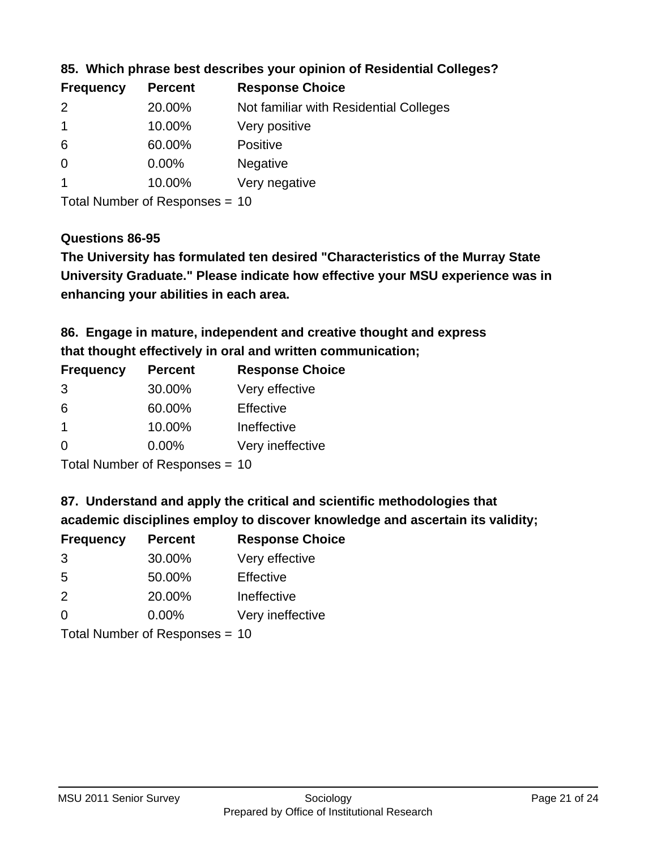| <b>Frequency</b> | <b>Percent</b> | <b>Response Choice</b>                 |
|------------------|----------------|----------------------------------------|
| $\mathcal{P}$    | 20.00%         | Not familiar with Residential Colleges |
|                  | 10.00%         | Very positive                          |
| 6                | 60.00%         | <b>Positive</b>                        |
| 0                | $0.00\%$       | <b>Negative</b>                        |
|                  | 10.00%         | Very negative                          |
|                  |                |                                        |

**85. Which phrase best describes your opinion of Residential Colleges?**

Total Number of Responses = 10

### **Questions 86-95**

**University Graduate." Please indicate how effective your MSU experience was in The University has formulated ten desired "Characteristics of the Murray State enhancing your abilities in each area.**

**86. Engage in mature, independent and creative thought and express that thought effectively in oral and written communication;**

| <b>Frequency</b> | <b>Percent</b> | <b>Response Choice</b> |
|------------------|----------------|------------------------|
| 3                | 30.00%         | Very effective         |
| 6                | 60.00%         | Effective              |
|                  | 10.00%         | Ineffective            |
| $\Omega$         | $0.00\%$       | Very ineffective       |

Total Number of Responses = 10

**87. Understand and apply the critical and scientific methodologies that** 

**academic disciplines employ to discover knowledge and ascertain its validity;**

| <b>Frequency</b> | <b>Percent</b> | <b>Response Choice</b> |  |
|------------------|----------------|------------------------|--|
| 3                | 30.00%         | Very effective         |  |
| 5                | 50.00%         | Effective              |  |
| 2                | 20.00%         | Ineffective            |  |
| $\Omega$         | 0.00%          | Very ineffective       |  |
|                  |                |                        |  |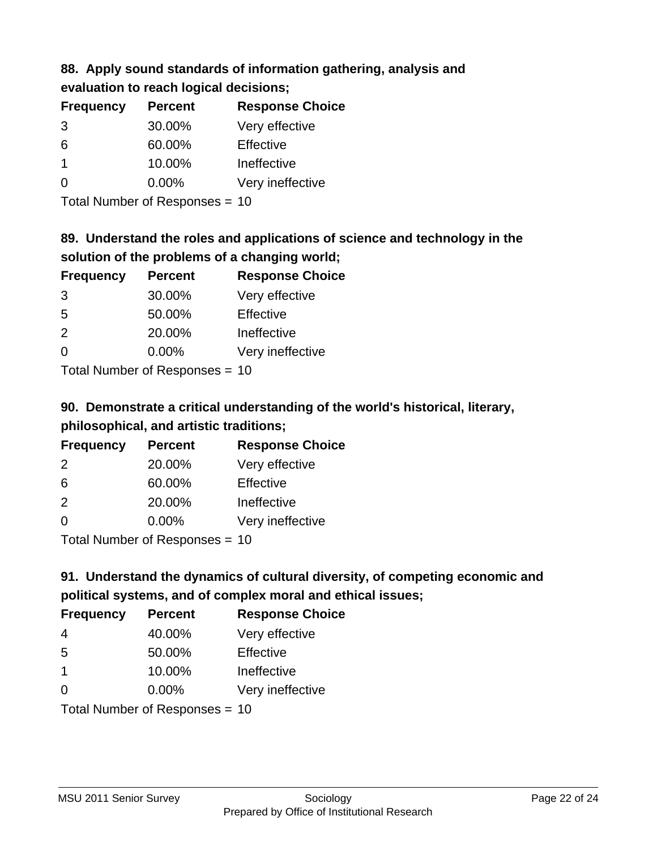### **88. Apply sound standards of information gathering, analysis and evaluation to reach logical decisions;**

| <b>Frequency</b> | <b>Percent</b> | <b>Response Choice</b> |
|------------------|----------------|------------------------|
| 3                | 30.00%         | Very effective         |
| 6                | 60.00%         | Effective              |
| $\mathbf 1$      | 10.00%         | Ineffective            |
| $\overline{0}$   | 0.00%          | Very ineffective       |
|                  |                |                        |

Total Number of Responses = 10

# **89. Understand the roles and applications of science and technology in the solution of the problems of a changing world;**

| <b>Frequency</b> | <b>Percent</b>             | <b>Response Choice</b> |
|------------------|----------------------------|------------------------|
| 3                | 30.00%                     | Very effective         |
| 5                | 50.00%                     | Effective              |
| 2                | 20.00%                     | Ineffective            |
| $\Omega$         | 0.00%                      | Very ineffective       |
|                  | Total Number of Desperance |                        |

Total Number of Responses = 10

# **90. Demonstrate a critical understanding of the world's historical, literary, philosophical, and artistic traditions;**

| <b>Frequency</b> | <b>Percent</b> | <b>Response Choice</b> |  |
|------------------|----------------|------------------------|--|
| $\mathcal{P}$    | 20.00%         | Very effective         |  |
| 6                | 60.00%         | Effective              |  |
| 2                | 20.00%         | Ineffective            |  |
| ∩                | 0.00%          | Very ineffective       |  |
|                  |                |                        |  |

Total Number of Responses = 10

# **91. Understand the dynamics of cultural diversity, of competing economic and political systems, and of complex moral and ethical issues;**

| <b>Frequency</b> | <b>Percent</b>                 | <b>Response Choice</b> |
|------------------|--------------------------------|------------------------|
| 4                | 40.00%                         | Very effective         |
| 5                | 50.00%                         | Effective              |
| $\overline{1}$   | 10.00%                         | Ineffective            |
| $\Omega$         | 0.00%                          | Very ineffective       |
|                  | Total Number of Responses = 10 |                        |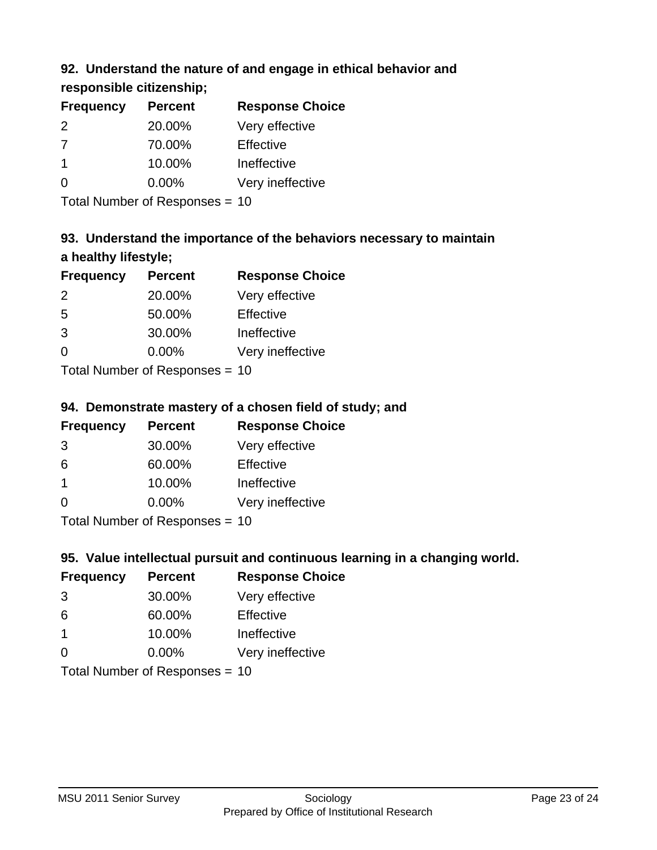## **92. Understand the nature of and engage in ethical behavior and**

## **responsible citizenship;**

| <b>Frequency</b> | <b>Percent</b> | <b>Response Choice</b> |
|------------------|----------------|------------------------|
| 2                | 20.00%         | Very effective         |
| -7               | 70.00%         | Effective              |
| 1                | 10.00%         | Ineffective            |
|                  | $0.00\%$       | Very ineffective       |
|                  |                |                        |

Total Number of Responses = 10

# **93. Understand the importance of the behaviors necessary to maintain a healthy lifestyle;**

| <b>Frequency</b> | <b>Percent</b>             | <b>Response Choice</b> |
|------------------|----------------------------|------------------------|
| $\mathcal{P}$    | 20.00%                     | Very effective         |
| 5                | 50.00%                     | Effective              |
| 3                | 30.00%                     | Ineffective            |
| $\Omega$         | 0.00%                      | Very ineffective       |
|                  | Tatal Number of Desperance |                        |

Total Number of Responses = 10

## **94. Demonstrate mastery of a chosen field of study; and**

| <b>Frequency</b> | <b>Percent</b> | <b>Response Choice</b> |
|------------------|----------------|------------------------|
| 3                | 30.00%         | Very effective         |
| 6                | 60.00%         | Effective              |
| $\overline{1}$   | 10.00%         | Ineffective            |
| $\Omega$         | 0.00%          | Very ineffective       |
|                  |                |                        |

Total Number of Responses = 10

## **95. Value intellectual pursuit and continuous learning in a changing world.**

| <b>Frequency</b> | <b>Percent</b>             | <b>Response Choice</b> |  |
|------------------|----------------------------|------------------------|--|
| 3                | 30.00%                     | Very effective         |  |
| 6                | 60.00%                     | Effective              |  |
| $\mathbf 1$      | 10.00%                     | Ineffective            |  |
| $\Omega$         | 0.00%                      | Very ineffective       |  |
|                  | Tatal Number of Desperance |                        |  |